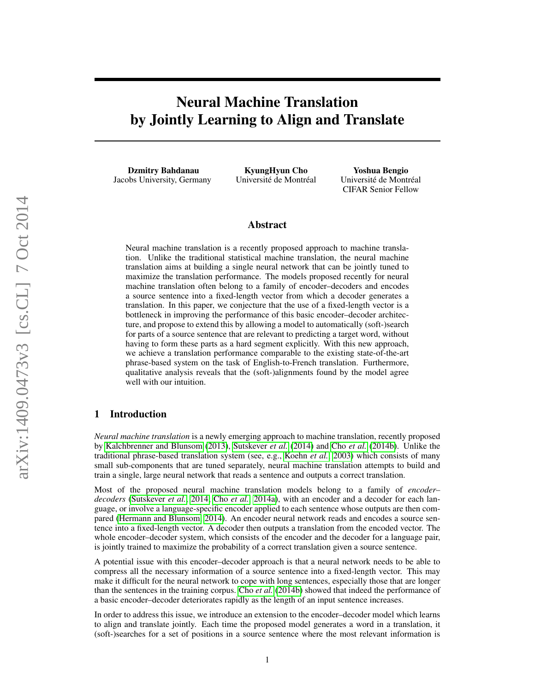# Neural Machine Translation by Jointly Learning to Align and Translate

Dzmitry Bahdanau Jacobs University, Germany

KyungHyun Cho Université de Montréal

Yoshua Bengio Université de Montréal CIFAR Senior Fellow

## Abstract

Neural machine translation is a recently proposed approach to machine translation. Unlike the traditional statistical machine translation, the neural machine translation aims at building a single neural network that can be jointly tuned to maximize the translation performance. The models proposed recently for neural machine translation often belong to a family of encoder–decoders and encodes a source sentence into a fixed-length vector from which a decoder generates a translation. In this paper, we conjecture that the use of a fixed-length vector is a bottleneck in improving the performance of this basic encoder–decoder architecture, and propose to extend this by allowing a model to automatically (soft-)search for parts of a source sentence that are relevant to predicting a target word, without having to form these parts as a hard segment explicitly. With this new approach, we achieve a translation performance comparable to the existing state-of-the-art phrase-based system on the task of English-to-French translation. Furthermore, qualitative analysis reveals that the (soft-)alignments found by the model agree well with our intuition.

## 1 Introduction

*Neural machine translation* is a newly emerging approach to machine translation, recently proposed by [Kalchbrenner and Blunsom](#page-11-0) [\(2013\)](#page-11-0), [Sutskever](#page-11-1) *et al.* [\(2014\)](#page-11-1) and Cho *[et al.](#page-10-0)* [\(2014b\)](#page-10-0). Unlike the traditional phrase-based translation system (see, e.g., [Koehn](#page-11-2) *et al.*, [2003\)](#page-11-2) which consists of many small sub-components that are tuned separately, neural machine translation attempts to build and train a single, large neural network that reads a sentence and outputs a correct translation.

Most of the proposed neural machine translation models belong to a family of *encoder– decoders* [\(Sutskever](#page-11-1) *et al.*, [2014;](#page-11-1) Cho *[et al.](#page-10-1)*, [2014a\)](#page-10-1), with an encoder and a decoder for each language, or involve a language-specific encoder applied to each sentence whose outputs are then compared [\(Hermann and Blunsom, 2014\)](#page-10-2). An encoder neural network reads and encodes a source sentence into a fixed-length vector. A decoder then outputs a translation from the encoded vector. The whole encoder–decoder system, which consists of the encoder and the decoder for a language pair, is jointly trained to maximize the probability of a correct translation given a source sentence.

A potential issue with this encoder–decoder approach is that a neural network needs to be able to compress all the necessary information of a source sentence into a fixed-length vector. This may make it difficult for the neural network to cope with long sentences, especially those that are longer than the sentences in the training corpus. Cho *[et al.](#page-10-0)* [\(2014b\)](#page-10-0) showed that indeed the performance of a basic encoder–decoder deteriorates rapidly as the length of an input sentence increases.

In order to address this issue, we introduce an extension to the encoder–decoder model which learns to align and translate jointly. Each time the proposed model generates a word in a translation, it (soft-)searches for a set of positions in a source sentence where the most relevant information is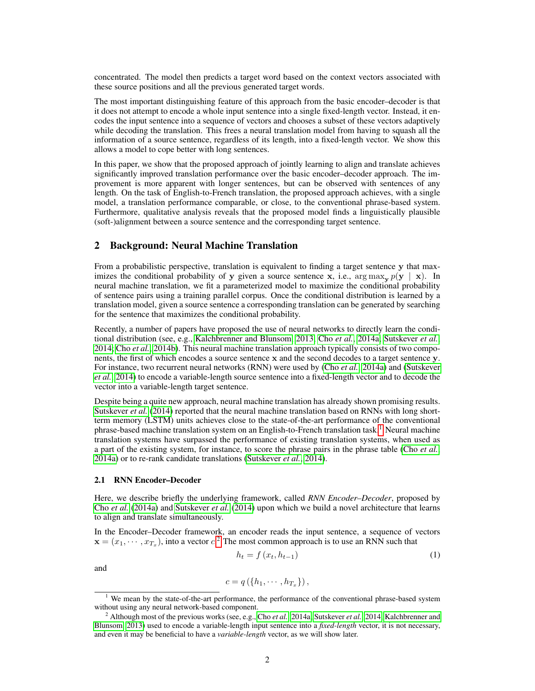concentrated. The model then predicts a target word based on the context vectors associated with these source positions and all the previous generated target words.

The most important distinguishing feature of this approach from the basic encoder–decoder is that it does not attempt to encode a whole input sentence into a single fixed-length vector. Instead, it encodes the input sentence into a sequence of vectors and chooses a subset of these vectors adaptively while decoding the translation. This frees a neural translation model from having to squash all the information of a source sentence, regardless of its length, into a fixed-length vector. We show this allows a model to cope better with long sentences.

In this paper, we show that the proposed approach of jointly learning to align and translate achieves significantly improved translation performance over the basic encoder–decoder approach. The improvement is more apparent with longer sentences, but can be observed with sentences of any length. On the task of English-to-French translation, the proposed approach achieves, with a single model, a translation performance comparable, or close, to the conventional phrase-based system. Furthermore, qualitative analysis reveals that the proposed model finds a linguistically plausible (soft-)alignment between a source sentence and the corresponding target sentence.

## 2 Background: Neural Machine Translation

From a probabilistic perspective, translation is equivalent to finding a target sentence y that maximizes the conditional probability of y given a source sentence x, i.e.,  $\arg \max_{y} p(y | x)$ . In neural machine translation, we fit a parameterized model to maximize the conditional probability of sentence pairs using a training parallel corpus. Once the conditional distribution is learned by a translation model, given a source sentence a corresponding translation can be generated by searching for the sentence that maximizes the conditional probability.

Recently, a number of papers have proposed the use of neural networks to directly learn the conditional distribution (see, e.g., [Kalchbrenner and Blunsom, 2013;](#page-11-0) Cho *[et al.](#page-10-1)*, [2014a;](#page-10-1) [Sutskever](#page-11-1) *et al.*, [2014;](#page-11-1) Cho *[et al.](#page-10-0)*, [2014b\)](#page-10-0). This neural machine translation approach typically consists of two components, the first of which encodes a source sentence x and the second decodes to a target sentence y. For instance, two recurrent neural networks (RNN) were used by (Cho *[et al.](#page-10-1)*, [2014a\)](#page-10-1) and [\(Sutskever](#page-11-1) *[et al.](#page-11-1)*, [2014\)](#page-11-1) to encode a variable-length source sentence into a fixed-length vector and to decode the vector into a variable-length target sentence.

Despite being a quite new approach, neural machine translation has already shown promising results. [Sutskever](#page-11-1) *et al.* [\(2014\)](#page-11-1) reported that the neural machine translation based on RNNs with long shortterm memory (LSTM) units achieves close to the state-of-the-art performance of the conventional phrase-based machine translation system on an English-to-French translation task.[1](#page-1-0) Neural machine translation systems have surpassed the performance of existing translation systems, when used as a part of the existing system, for instance, to score the phrase pairs in the phrase table (Cho *[et al.](#page-10-1)*, [2014a\)](#page-10-1) or to re-rank candidate translations [\(Sutskever](#page-11-1) *et al.*, [2014\)](#page-11-1).

#### 2.1 RNN Encoder–Decoder

Here, we describe briefly the underlying framework, called *RNN Encoder–Decoder*, proposed by Cho *[et al.](#page-10-1)* [\(2014a\)](#page-10-1) and [Sutskever](#page-11-1) *et al.* [\(2014\)](#page-11-1) upon which we build a novel architecture that learns to align and translate simultaneously.

In the Encoder–Decoder framework, an encoder reads the input sentence, a sequence of vectors  $\mathbf{x} = (x_1, \dots, x_{T_x})$ , into a vector  $c^2$  $c^2$ . The most common approach is to use an RNN such that

<span id="page-1-2"></span>
$$
h_t = f\left(x_t, h_{t-1}\right) \tag{1}
$$

and

$$
c=q\left(\left\{ h_{1},\cdots,h_{T_{x}}\right\} \right),
$$

<span id="page-1-0"></span><sup>&</sup>lt;sup>1</sup> We mean by the state-of-the-art performance, the performance of the conventional phrase-based system without using any neural network-based component.

<span id="page-1-1"></span><sup>2</sup> Although most of the previous works (see, e.g., Cho *[et al.](#page-10-1)*, [2014a;](#page-10-1) [Sutskever](#page-11-1) *et al.*, [2014;](#page-11-1) [Kalchbrenner and](#page-11-0) [Blunsom, 2013\)](#page-11-0) used to encode a variable-length input sentence into a *fixed-length* vector, it is not necessary, and even it may be beneficial to have a *variable-length* vector, as we will show later.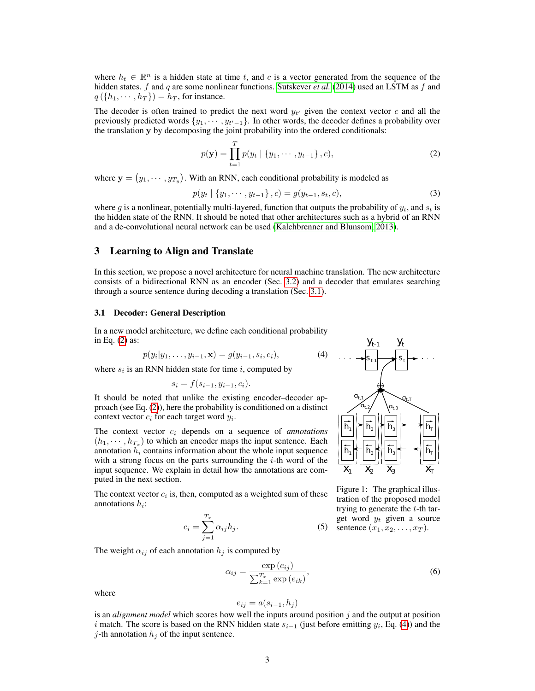where  $h_t \in \mathbb{R}^n$  is a hidden state at time t, and c is a vector generated from the sequence of the hidden states. f and q are some nonlinear functions. [Sutskever](#page-11-1) *et al.* [\(2014\)](#page-11-1) used an LSTM as f and  $q(\lbrace h_1, \cdots, h_T \rbrace) = h_T$ , for instance.

The decoder is often trained to predict the next word  $y_{t'}$  given the context vector c and all the previously predicted words  $\{y_1, \dots, y_{t'-1}\}\$ . In other words, the decoder defines a probability over the translation y by decomposing the joint probability into the ordered conditionals:

$$
p(\mathbf{y}) = \prod_{t=1}^{T} p(y_t | \{y_1, \dots, y_{t-1}\}, c),
$$
 (2)

where  $\mathbf{y} = (y_1, \dots, y_{T_y})$ . With an RNN, each conditional probability is modeled as

$$
p(y_t | \{y_1, \cdots, y_{t-1}\}, c) = g(y_{t-1}, s_t, c),
$$
\n(3)

where g is a nonlinear, potentially multi-layered, function that outputs the probability of  $y_t$ , and  $s_t$  is the hidden state of the RNN. It should be noted that other architectures such as a hybrid of an RNN and a de-convolutional neural network can be used [\(Kalchbrenner and Blunsom, 2013\)](#page-11-0).

## 3 Learning to Align and Translate

In this section, we propose a novel architecture for neural machine translation. The new architecture consists of a bidirectional RNN as an encoder (Sec. [3.2\)](#page-3-0) and a decoder that emulates searching through a source sentence during decoding a translation (Sec. [3.1\)](#page-2-0).

#### <span id="page-2-0"></span>3.1 Decoder: General Description

In a new model architecture, we define each conditional probability in Eq. [\(2\)](#page-2-1) as:

$$
p(y_i|y_1,\ldots,y_{i-1},\mathbf{x})=g(y_{i-1},s_i,c_i),
$$

where  $s_i$  is an RNN hidden state for time i, computed by

$$
s_i = f(s_{i-1}, y_{i-1}, c_i).
$$

It should be noted that unlike the existing encoder–decoder approach (see Eq. [\(2\)](#page-2-1)), here the probability is conditioned on a distinct context vector  $c_i$  for each target word  $y_i$ .

The context vector  $c_i$  depends on a sequence of *annotations*  $(h_1, \dots, h_{T_x})$  to which an encoder maps the input sentence. Each annotation  $h_i$  contains information about the whole input sequence with a strong focus on the parts surrounding the  $i$ -th word of the input sequence. We explain in detail how the annotations are computed in the next section.

The context vector  $c_i$  is, then, computed as a weighted sum of these annotations  $h_i$ :

$$
c_i = \sum_{j=1}^{T_x} \alpha_{ij} h_j.
$$
 (5)

The weight  $\alpha_{ij}$  of each annotation  $h_j$  is computed by

$$
\alpha_{ij} = \frac{\exp(e_{ij})}{\sum_{k=1}^{T_x} \exp(e_{ik})},\tag{6}
$$

where

$$
e_{ij} = a(s_{i-1}, h_j)
$$

is an *alignment model* which scores how well the inputs around position j and the output at position i match. The score is based on the RNN hidden state  $s_{i-1}$  (just before emitting  $y_i$ , Eq. [\(4\)](#page-2-2)) and the j-th annotation  $h_j$  of the input sentence.

<span id="page-2-2"></span><span id="page-2-1"></span>

<span id="page-2-5"></span><span id="page-2-4"></span><span id="page-2-3"></span>Figure 1: The graphical illustration of the proposed model trying to generate the  $t$ -th target word  $y_t$  given a source sentence  $(x_1, x_2, \ldots, x_T)$ .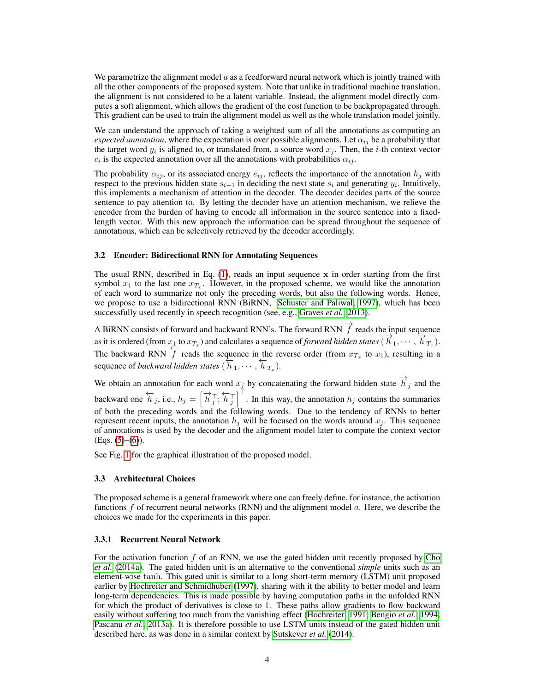We parametrize the alignment model  $a$  as a feedforward neural network which is jointly trained with all the other components of the proposed system. Note that unlike in traditional machine translation, the alignment is not considered to be a latent variable. Instead, the alignment model directly computes a soft alignment, which allows the gradient of the cost function to be backpropagated through. This gradient can be used to train the alignment model as well as the whole translation model jointly.

We can understand the approach of taking a weighted sum of all the annotations as computing an *expected annotation*, where the expectation is over possible alignments. Let  $\alpha_{ij}$  be a probability that the target word  $y_i$  is aligned to, or translated from, a source word  $x_j$ . Then, the *i*-th context vector  $c_i$  is the expected annotation over all the annotations with probabilities  $\alpha_{ij}$ .

The probability  $\alpha_{ij}$ , or its associated energy  $e_{ij}$ , reflects the importance of the annotation  $h_j$  with respect to the previous hidden state  $s_{i-1}$  in deciding the next state  $s_i$  and generating  $y_i$ . Intuitively, this implements a mechanism of attention in the decoder. The decoder decides parts of the source sentence to pay attention to. By letting the decoder have an attention mechanism, we relieve the encoder from the burden of having to encode all information in the source sentence into a fixedlength vector. With this new approach the information can be spread throughout the sequence of annotations, which can be selectively retrieved by the decoder accordingly.

#### <span id="page-3-0"></span>3.2 Encoder: Bidirectional RNN for Annotating Sequences

The usual RNN, described in Eq.  $(1)$ , reads an input sequence x in order starting from the first symbol  $x_1$  to the last one  $x_{T_x}$ . However, in the proposed scheme, we would like the annotation of each word to summarize not only the preceding words, but also the following words. Hence, we propose to use a bidirectional RNN (BiRNN, [Schuster and Paliwal, 1997\)](#page-11-3), which has been successfully used recently in speech recognition (see, e.g., [Graves](#page-10-3) *et al.*, [2013\)](#page-10-3).

A BiRNN consists of forward and backward RNN's. The forward RNN  $\overrightarrow{f}$  reads the input sequence as it is ordered (from  $x_1$  to  $x_{T_x}$ ) and calculates a sequence of *forward hidden states* ( $\overrightarrow{h}_1, \dots, \overrightarrow{h}_{T_x}$ ). The backward RNN  $\overline{f}$  reads the sequence in the reverse order (from  $x_{T_x}$  to  $x_1$ ), resulting in a sequence of *backward hidden states* ( $\overline{h}_1, \dots, \overline{h}_{T_x}$ ).

We obtain an annotation for each word  $x_j$  by concatenating the forward hidden state  $\overrightarrow{h}_j$  and the backward one  $\overleftarrow{h}_j$ , i.e.,  $h_j = \left[\overrightarrow{h}_j^{\top}, \overleftarrow{h}_j^{\top}\right]^\top$ . In this way, the annotation  $h_j$  contains the summaries of both the preceding words and the following words. Due to the tendency of RNNs to better represent recent inputs, the annotation  $h_j$  will be focused on the words around  $x_j$ . This sequence of annotations is used by the decoder and the alignment model later to compute the context vector  $(Eqs. (5)–(6)).$  $(Eqs. (5)–(6)).$  $(Eqs. (5)–(6)).$  $(Eqs. (5)–(6)).$  $(Eqs. (5)–(6)).$ 

See Fig. [1](#page-2-5) for the graphical illustration of the proposed model.

#### 3.3 Architectural Choices

The proposed scheme is a general framework where one can freely define, for instance, the activation functions  $f$  of recurrent neural networks (RNN) and the alignment model  $a$ . Here, we describe the choices we made for the experiments in this paper.

## <span id="page-3-1"></span>3.3.1 Recurrent Neural Network

For the activation function  $f$  of an RNN, we use the gated hidden unit recently proposed by [Cho](#page-10-1) *[et al.](#page-10-1)* [\(2014a\)](#page-10-1). The gated hidden unit is an alternative to the conventional *simple* units such as an element-wise tanh. This gated unit is similar to a long short-term memory (LSTM) unit proposed earlier by [Hochreiter and Schmidhuber](#page-11-4) [\(1997\)](#page-11-4), sharing with it the ability to better model and learn long-term dependencies. This is made possible by having computation paths in the unfolded RNN for which the product of derivatives is close to 1. These paths allow gradients to flow backward easily without suffering too much from the vanishing effect [\(Hochreiter, 1991;](#page-10-4) [Bengio](#page-10-5) *et al.*, [1994;](#page-10-5) [Pascanu](#page-11-5) *et al.*, [2013a\)](#page-11-5). It is therefore possible to use LSTM units instead of the gated hidden unit described here, as was done in a similar context by [Sutskever](#page-11-1) *et al.* [\(2014\)](#page-11-1).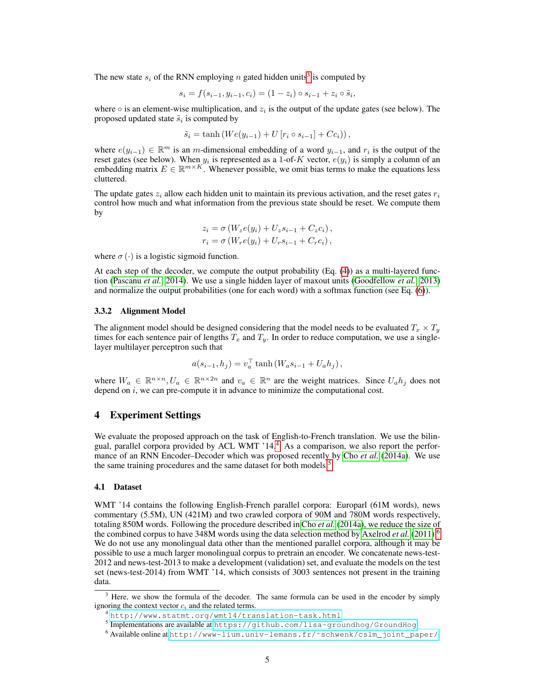The new state  $s_i$  of the RNN employing n gated hidden units<sup>[3](#page-4-0)</sup> is computed by

$$
s_i = f(s_{i-1}, y_{i-1}, c_i) = (1 - z_i) \circ s_{i-1} + z_i \circ \tilde{s}_i,
$$

where  $\circ$  is an element-wise multiplication, and  $z_i$  is the output of the update gates (see below). The proposed updated state  $\tilde{s}_i$  is computed by

$$
\tilde{s}_i = \tanh\left(We(y_{i-1}) + U\left[r_i \circ s_{i-1}\right] + Cc_i\right),\,
$$

where  $e(y_{i-1}) \in \mathbb{R}^m$  is an m-dimensional embedding of a word  $y_{i-1}$ , and  $r_i$  is the output of the reset gates (see below). When  $y_i$  is represented as a 1-of-K vector,  $e(y_i)$  is simply a column of an embedding matrix  $E \in \mathbb{R}^{m \times K}$ . Whenever possible, we omit bias terms to make the equations less cluttered.

The update gates  $z_i$  allow each hidden unit to maintain its previous activation, and the reset gates  $r_i$ control how much and what information from the previous state should be reset. We compute them by

$$
z_i = \sigma (W_z e(y_i) + U_z s_{i-1} + C_z c_i),
$$
  
\n
$$
r_i = \sigma (W_r e(y_i) + U_r s_{i-1} + C_r c_i),
$$

where  $\sigma(\cdot)$  is a logistic sigmoid function.

At each step of the decoder, we compute the output probability (Eq. [\(4\)](#page-2-2)) as a multi-layered function [\(Pascanu](#page-11-6) *et al.*, [2014\)](#page-11-6). We use a single hidden layer of maxout units [\(Goodfellow](#page-10-6) *et al.*, [2013\)](#page-10-6) and normalize the output probabilities (one for each word) with a softmax function (see Eq. [\(6\)](#page-2-4)).

#### 3.3.2 Alignment Model

The alignment model should be designed considering that the model needs to be evaluated  $T_x \times T_y$ times for each sentence pair of lengths  $T_x$  and  $T_y$ . In order to reduce computation, we use a singlelayer multilayer perceptron such that

$$
a(s_{i-1}, h_j) = v_a^{\top} \tanh (W_a s_{i-1} + U_a h_j),
$$

where  $W_a \in \mathbb{R}^{n \times n}$ ,  $U_a \in \mathbb{R}^{n \times 2n}$  and  $v_a \in \mathbb{R}^n$  are the weight matrices. Since  $U_a h_j$  does not depend on  $i$ , we can pre-compute it in advance to minimize the computational cost.

## <span id="page-4-4"></span>4 Experiment Settings

We evaluate the proposed approach on the task of English-to-French translation. We use the bilin-gual, parallel corpora provided by ACL WMT '1[4](#page-4-1).<sup>4</sup> As a comparison, we also report the performance of an RNN Encoder–Decoder which was proposed recently by Cho *[et al.](#page-10-1)* [\(2014a\)](#page-10-1). We use the same training procedures and the same dataset for both models.<sup>[5](#page-4-2)</sup>

## 4.1 Dataset

WMT '14 contains the following English-French parallel corpora: Europarl (61M words), news commentary (5.5M), UN (421M) and two crawled corpora of 90M and 780M words respectively, totaling 850M words. Following the procedure described in Cho *[et al.](#page-10-1)* [\(2014a\)](#page-10-1), we reduce the size of the combined corpus to have 348M words using the data selection method by [Axelrod](#page-10-7) *et al.* [\(2011\)](#page-10-7).[6](#page-4-3) We do not use any monolingual data other than the mentioned parallel corpora, although it may be possible to use a much larger monolingual corpus to pretrain an encoder. We concatenate news-test-2012 and news-test-2013 to make a development (validation) set, and evaluate the models on the test set (news-test-2014) from WMT '14, which consists of 3003 sentences not present in the training data.

<span id="page-4-0"></span><sup>&</sup>lt;sup>3</sup> Here, we show the formula of the decoder. The same formula can be used in the encoder by simply ignoring the context vector  $c_i$  and the related terms.

<span id="page-4-1"></span><sup>4</sup> <http://www.statmt.org/wmt14/translation-task.html>

<span id="page-4-2"></span><sup>5</sup> Implementations are available at <https://github.com/lisa-groundhog/GroundHog>.

<span id="page-4-3"></span><sup>6</sup> Available online at [http://www-lium.univ-lemans.fr/˜schwenk/cslm\\_joint\\_paper/](http://www-lium.univ-lemans.fr/~schwenk/cslm_joint_paper/).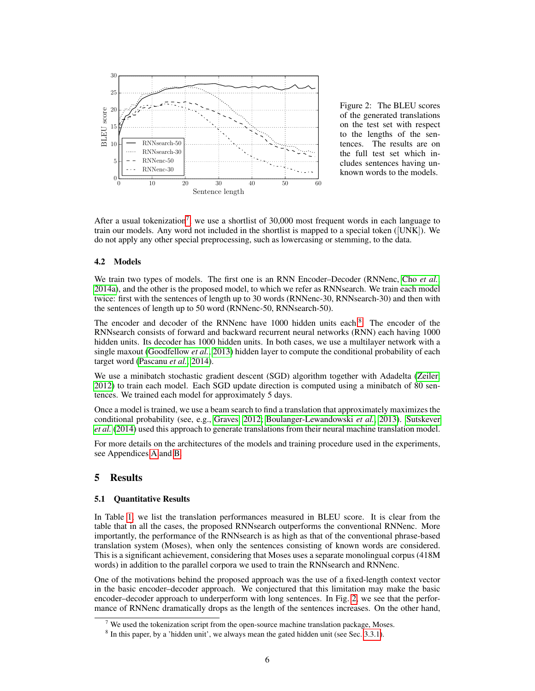

<span id="page-5-2"></span>Figure 2: The BLEU scores of the generated translations on the test set with respect to the lengths of the sentences. The results are on the full test set which includes sentences having unknown words to the models.

After a usual tokenization<sup>[7](#page-5-0)</sup>, we use a shortlist of 30,000 most frequent words in each language to train our models. Any word not included in the shortlist is mapped to a special token ([UNK]). We do not apply any other special preprocessing, such as lowercasing or stemming, to the data.

#### 4.2 Models

We train two types of models. The first one is an RNN Encoder–Decoder (RNNenc, Cho *[et al.](#page-10-1)*, [2014a\)](#page-10-1), and the other is the proposed model, to which we refer as RNNsearch. We train each model twice: first with the sentences of length up to 30 words (RNNenc-30, RNNsearch-30) and then with the sentences of length up to 50 word (RNNenc-50, RNNsearch-50).

The encoder and decoder of the RNNenc have 1000 hidden units each.<sup>[8](#page-5-1)</sup> The encoder of the RNNsearch consists of forward and backward recurrent neural networks (RNN) each having 1000 hidden units. Its decoder has 1000 hidden units. In both cases, we use a multilayer network with a single maxout [\(Goodfellow](#page-10-6) *et al.*, [2013\)](#page-10-6) hidden layer to compute the conditional probability of each target word [\(Pascanu](#page-11-6) *et al.*, [2014\)](#page-11-6).

We use a minibatch stochastic gradient descent (SGD) algorithm together with Adadelta [\(Zeiler,](#page-11-7) [2012\)](#page-11-7) to train each model. Each SGD update direction is computed using a minibatch of 80 sentences. We trained each model for approximately 5 days.

Once a model is trained, we use a beam search to find a translation that approximately maximizes the conditional probability (see, e.g., [Graves, 2012;](#page-10-8) [Boulanger-Lewandowski](#page-10-9) *et al.*, [2013\)](#page-10-9). [Sutskever](#page-11-1) *[et al.](#page-11-1)* [\(2014\)](#page-11-1) used this approach to generate translations from their neural machine translation model.

For more details on the architectures of the models and training procedure used in the experiments, see Appendices [A](#page-12-0) and [B.](#page-13-0)

## <span id="page-5-3"></span>5 Results

## 5.1 Quantitative Results

In Table [1,](#page-7-0) we list the translation performances measured in BLEU score. It is clear from the table that in all the cases, the proposed RNNsearch outperforms the conventional RNNenc. More importantly, the performance of the RNNsearch is as high as that of the conventional phrase-based translation system (Moses), when only the sentences consisting of known words are considered. This is a significant achievement, considering that Moses uses a separate monolingual corpus (418M words) in addition to the parallel corpora we used to train the RNNsearch and RNNenc.

One of the motivations behind the proposed approach was the use of a fixed-length context vector in the basic encoder–decoder approach. We conjectured that this limitation may make the basic encoder–decoder approach to underperform with long sentences. In Fig. [2,](#page-5-2) we see that the performance of RNNenc dramatically drops as the length of the sentences increases. On the other hand,

<span id="page-5-0"></span><sup>&</sup>lt;sup>7</sup> We used the tokenization script from the open-source machine translation package, Moses.

<span id="page-5-1"></span><sup>&</sup>lt;sup>8</sup> In this paper, by a 'hidden unit', we always mean the gated hidden unit (see Sec. [3.3.1\)](#page-3-1).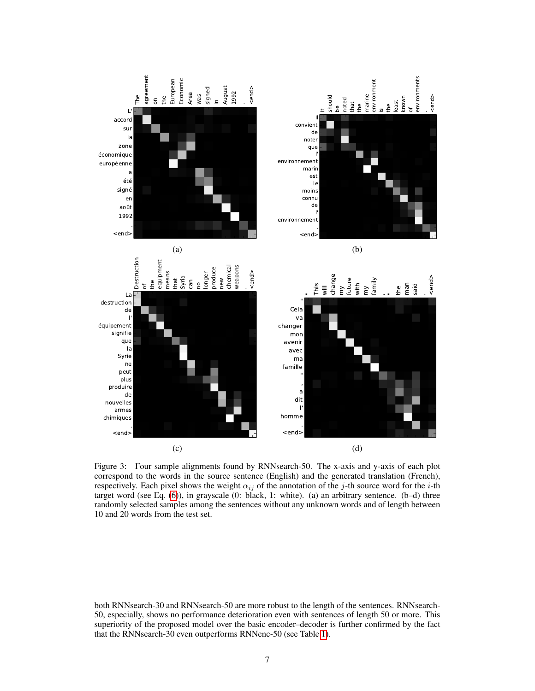

<span id="page-6-0"></span>Figure 3: Four sample alignments found by RNNsearch-50. The x-axis and y-axis of each plot correspond to the words in the source sentence (English) and the generated translation (French), respectively. Each pixel shows the weight  $\alpha_{ij}$  of the annotation of the j-th source word for the i-th target word (see Eq. [\(6\)](#page-2-4)), in grayscale (0: black, 1: white). (a) an arbitrary sentence. (b–d) three randomly selected samples among the sentences without any unknown words and of length between 10 and 20 words from the test set.

both RNNsearch-30 and RNNsearch-50 are more robust to the length of the sentences. RNNsearch-50, especially, shows no performance deterioration even with sentences of length 50 or more. This superiority of the proposed model over the basic encoder–decoder is further confirmed by the fact that the RNNsearch-30 even outperforms RNNenc-50 (see Table [1\)](#page-7-0).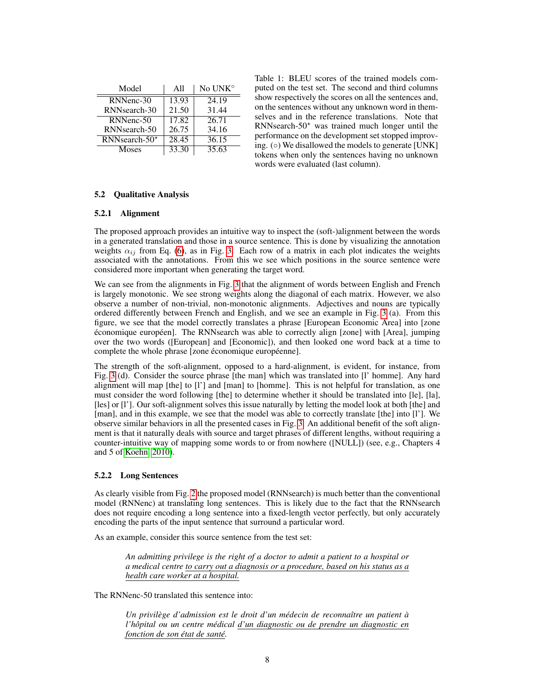| Model                     | A11   | No UNK <sup>o</sup> |
|---------------------------|-------|---------------------|
| RNNenc-30                 | 13.93 | 24.19               |
| RNN <sub>search</sub> -30 | 21.50 | 31.44               |
| RNNenc-50                 | 17.82 | 26.71               |
| RNN <sub>search</sub> -50 | 26.75 | 34.16               |
| RNNsearch-50*             | 28.45 | 36.15               |
| Moses                     | 33.30 | 35.63               |

<span id="page-7-0"></span>Table 1: BLEU scores of the trained models computed on the test set. The second and third columns show respectively the scores on all the sentences and, on the sentences without any unknown word in themselves and in the reference translations. Note that RNNsearch- $50<sup>*</sup>$  was trained much longer until the performance on the development set stopped improving.  $( \circ )$  We disallowed the models to generate [UNK] tokens when only the sentences having no unknown words were evaluated (last column).

## 5.2 Qualitative Analysis

## 5.2.1 Alignment

The proposed approach provides an intuitive way to inspect the (soft-)alignment between the words in a generated translation and those in a source sentence. This is done by visualizing the annotation weights  $\alpha_{ij}$  from Eq. [\(6\)](#page-2-4), as in Fig. [3.](#page-6-0) Each row of a matrix in each plot indicates the weights associated with the annotations. From this we see which positions in the source sentence were considered more important when generating the target word.

We can see from the alignments in Fig. [3](#page-6-0) that the alignment of words between English and French is largely monotonic. We see strong weights along the diagonal of each matrix. However, we also observe a number of non-trivial, non-monotonic alignments. Adjectives and nouns are typically ordered differently between French and English, and we see an example in Fig. [3](#page-6-0) (a). From this figure, we see that the model correctly translates a phrase [European Economic Area] into [zone économique européen]. The RNNsearch was able to correctly align [zone] with [Area], jumping over the two words ([European] and [Economic]), and then looked one word back at a time to complete the whole phrase [zone économique européenne].

The strength of the soft-alignment, opposed to a hard-alignment, is evident, for instance, from Fig. [3](#page-6-0) (d). Consider the source phrase [the man] which was translated into [l' homme]. Any hard alignment will map [the] to [l'] and [man] to [homme]. This is not helpful for translation, as one must consider the word following [the] to determine whether it should be translated into [le], [la], [les] or [l']. Our soft-alignment solves this issue naturally by letting the model look at both [the] and [man], and in this example, we see that the model was able to correctly translate [the] into [1']. We observe similar behaviors in all the presented cases in Fig. [3.](#page-6-0) An additional benefit of the soft alignment is that it naturally deals with source and target phrases of different lengths, without requiring a counter-intuitive way of mapping some words to or from nowhere ([NULL]) (see, e.g., Chapters 4 and 5 of [Koehn, 2010\)](#page-11-8).

## 5.2.2 Long Sentences

As clearly visible from Fig. [2](#page-5-2) the proposed model (RNNsearch) is much better than the conventional model (RNNenc) at translating long sentences. This is likely due to the fact that the RNNsearch does not require encoding a long sentence into a fixed-length vector perfectly, but only accurately encoding the parts of the input sentence that surround a particular word.

As an example, consider this source sentence from the test set:

*An admitting privilege is the right of a doctor to admit a patient to a hospital or a medical centre to carry out a diagnosis or a procedure, based on his status as a health care worker at a hospital.*

The RNNenc-50 translated this sentence into:

*Un privilège d'admission est le droit d'un médecin de reconnaître un patient à l'hopital ou un centre m ˆ edical ´ d'un diagnostic ou de prendre un diagnostic en fonction de son etat ´ de sante.´*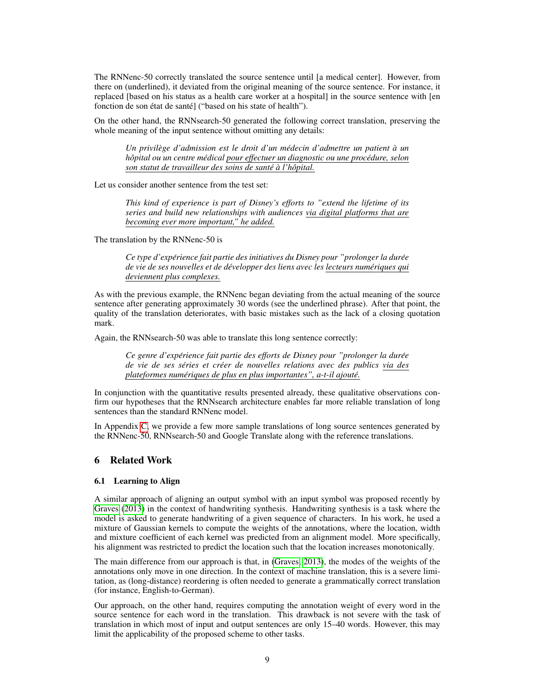The RNNenc-50 correctly translated the source sentence until [a medical center]. However, from there on (underlined), it deviated from the original meaning of the source sentence. For instance, it replaced [based on his status as a health care worker at a hospital] in the source sentence with [en fonction de son état de santé] ("based on his state of health").

On the other hand, the RNNsearch-50 generated the following correct translation, preserving the whole meaning of the input sentence without omitting any details:

*Un privilege d'admission est le droit d'un m ` edecin d'admettre un patient ´ a un ` hopital ou un centre m ˆ edical ´ pour effectuer un diagnostic ou une procedure, ´ selon son statut de travailleur des soins de sante´ a` l'hopital. ˆ*

Let us consider another sentence from the test set:

*This kind of experience is part of Disney's efforts to "extend the lifetime of its series and build new relationships with audiences via digital platforms that are becoming ever more important," he added.*

The translation by the RNNenc-50 is

*Ce type d'expérience fait partie des initiatives du Disney pour "prolonger la durée de vie de ses nouvelles et de developper des liens avec les ´ lecteurs numeriques ´ qui deviennent plus complexes.*

As with the previous example, the RNNenc began deviating from the actual meaning of the source sentence after generating approximately 30 words (see the underlined phrase). After that point, the quality of the translation deteriorates, with basic mistakes such as the lack of a closing quotation mark.

Again, the RNNsearch-50 was able to translate this long sentence correctly:

*Ce genre d'expérience fait partie des efforts de Disney pour "prolonger la durée de vie de ses series et cr ´ eer de nouvelles relations avec des publics ´ via des plateformes numeriques ´ de plus en plus importantes", a-t-il ajoute.´*

In conjunction with the quantitative results presented already, these qualitative observations confirm our hypotheses that the RNNsearch architecture enables far more reliable translation of long sentences than the standard RNNenc model.

In Appendix [C,](#page-14-0) we provide a few more sample translations of long source sentences generated by the RNNenc-50, RNNsearch-50 and Google Translate along with the reference translations.

# 6 Related Work

#### 6.1 Learning to Align

A similar approach of aligning an output symbol with an input symbol was proposed recently by [Graves](#page-10-10) [\(2013\)](#page-10-10) in the context of handwriting synthesis. Handwriting synthesis is a task where the model is asked to generate handwriting of a given sequence of characters. In his work, he used a mixture of Gaussian kernels to compute the weights of the annotations, where the location, width and mixture coefficient of each kernel was predicted from an alignment model. More specifically, his alignment was restricted to predict the location such that the location increases monotonically.

The main difference from our approach is that, in [\(Graves, 2013\)](#page-10-10), the modes of the weights of the annotations only move in one direction. In the context of machine translation, this is a severe limitation, as (long-distance) reordering is often needed to generate a grammatically correct translation (for instance, English-to-German).

Our approach, on the other hand, requires computing the annotation weight of every word in the source sentence for each word in the translation. This drawback is not severe with the task of translation in which most of input and output sentences are only 15–40 words. However, this may limit the applicability of the proposed scheme to other tasks.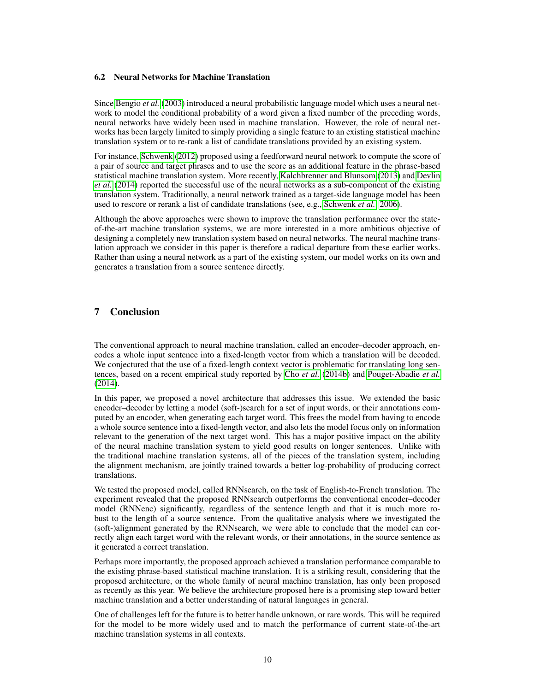## 6.2 Neural Networks for Machine Translation

Since [Bengio](#page-10-11) *et al.* [\(2003\)](#page-10-11) introduced a neural probabilistic language model which uses a neural network to model the conditional probability of a word given a fixed number of the preceding words, neural networks have widely been used in machine translation. However, the role of neural networks has been largely limited to simply providing a single feature to an existing statistical machine translation system or to re-rank a list of candidate translations provided by an existing system.

For instance, [Schwenk](#page-11-9) [\(2012\)](#page-11-9) proposed using a feedforward neural network to compute the score of a pair of source and target phrases and to use the score as an additional feature in the phrase-based statistical machine translation system. More recently, [Kalchbrenner and Blunsom](#page-11-0) [\(2013\)](#page-11-0) and [Devlin](#page-10-12) *[et al.](#page-10-12)* [\(2014\)](#page-10-12) reported the successful use of the neural networks as a sub-component of the existing translation system. Traditionally, a neural network trained as a target-side language model has been used to rescore or rerank a list of candidate translations (see, e.g., [Schwenk](#page-11-10) *et al.*, [2006\)](#page-11-10).

Although the above approaches were shown to improve the translation performance over the stateof-the-art machine translation systems, we are more interested in a more ambitious objective of designing a completely new translation system based on neural networks. The neural machine translation approach we consider in this paper is therefore a radical departure from these earlier works. Rather than using a neural network as a part of the existing system, our model works on its own and generates a translation from a source sentence directly.

# 7 Conclusion

The conventional approach to neural machine translation, called an encoder–decoder approach, encodes a whole input sentence into a fixed-length vector from which a translation will be decoded. We conjectured that the use of a fixed-length context vector is problematic for translating long sentences, based on a recent empirical study reported by Cho *[et al.](#page-10-0)* [\(2014b\)](#page-10-0) and [Pouget-Abadie](#page-11-11) *et al.* [\(2014\)](#page-11-11).

In this paper, we proposed a novel architecture that addresses this issue. We extended the basic encoder–decoder by letting a model (soft-)search for a set of input words, or their annotations computed by an encoder, when generating each target word. This frees the model from having to encode a whole source sentence into a fixed-length vector, and also lets the model focus only on information relevant to the generation of the next target word. This has a major positive impact on the ability of the neural machine translation system to yield good results on longer sentences. Unlike with the traditional machine translation systems, all of the pieces of the translation system, including the alignment mechanism, are jointly trained towards a better log-probability of producing correct translations.

We tested the proposed model, called RNNsearch, on the task of English-to-French translation. The experiment revealed that the proposed RNNsearch outperforms the conventional encoder–decoder model (RNNenc) significantly, regardless of the sentence length and that it is much more robust to the length of a source sentence. From the qualitative analysis where we investigated the (soft-)alignment generated by the RNNsearch, we were able to conclude that the model can correctly align each target word with the relevant words, or their annotations, in the source sentence as it generated a correct translation.

Perhaps more importantly, the proposed approach achieved a translation performance comparable to the existing phrase-based statistical machine translation. It is a striking result, considering that the proposed architecture, or the whole family of neural machine translation, has only been proposed as recently as this year. We believe the architecture proposed here is a promising step toward better machine translation and a better understanding of natural languages in general.

One of challenges left for the future is to better handle unknown, or rare words. This will be required for the model to be more widely used and to match the performance of current state-of-the-art machine translation systems in all contexts.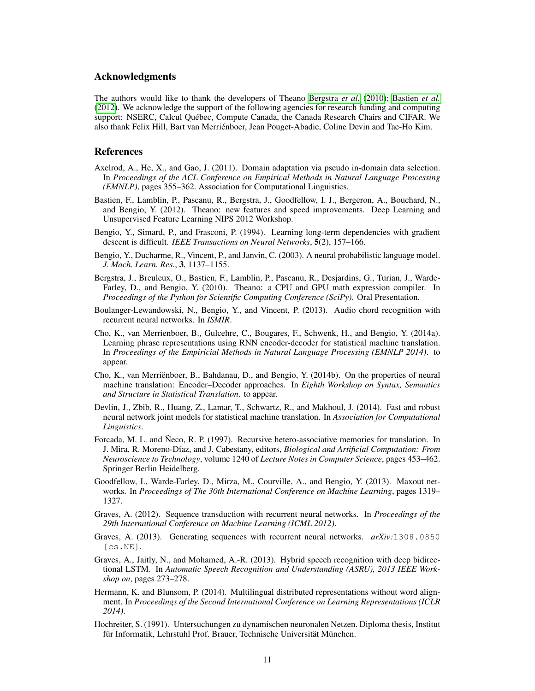## Acknowledgments

The authors would like to thank the developers of Theano [Bergstra](#page-10-13) *et al.* [\(2010\)](#page-10-13); [Bastien](#page-10-14) *et al.* [\(2012\)](#page-10-14). We acknowledge the support of the following agencies for research funding and computing support: NSERC, Calcul Quebec, Compute Canada, the Canada Research Chairs and CIFAR. We ´ also thank Felix Hill, Bart van Merrienboer, Jean Pouget-Abadie, Coline Devin and Tae-Ho Kim. ´

### References

- <span id="page-10-7"></span>Axelrod, A., He, X., and Gao, J. (2011). Domain adaptation via pseudo in-domain data selection. In *Proceedings of the ACL Conference on Empirical Methods in Natural Language Processing (EMNLP)*, pages 355–362. Association for Computational Linguistics.
- <span id="page-10-14"></span>Bastien, F., Lamblin, P., Pascanu, R., Bergstra, J., Goodfellow, I. J., Bergeron, A., Bouchard, N., and Bengio, Y. (2012). Theano: new features and speed improvements. Deep Learning and Unsupervised Feature Learning NIPS 2012 Workshop.
- <span id="page-10-5"></span>Bengio, Y., Simard, P., and Frasconi, P. (1994). Learning long-term dependencies with gradient descent is difficult. *IEEE Transactions on Neural Networks*, 5(2), 157–166.
- <span id="page-10-11"></span>Bengio, Y., Ducharme, R., Vincent, P., and Janvin, C. (2003). A neural probabilistic language model. *J. Mach. Learn. Res.*, 3, 1137–1155.
- <span id="page-10-13"></span>Bergstra, J., Breuleux, O., Bastien, F., Lamblin, P., Pascanu, R., Desjardins, G., Turian, J., Warde-Farley, D., and Bengio, Y. (2010). Theano: a CPU and GPU math expression compiler. In *Proceedings of the Python for Scientific Computing Conference (SciPy)*. Oral Presentation.
- <span id="page-10-9"></span>Boulanger-Lewandowski, N., Bengio, Y., and Vincent, P. (2013). Audio chord recognition with recurrent neural networks. In *ISMIR*.
- <span id="page-10-1"></span>Cho, K., van Merrienboer, B., Gulcehre, C., Bougares, F., Schwenk, H., and Bengio, Y. (2014a). Learning phrase representations using RNN encoder-decoder for statistical machine translation. In *Proceedings of the Empiricial Methods in Natural Language Processing (EMNLP 2014)*. to appear.
- <span id="page-10-0"></span>Cho, K., van Merrienboer, B., Bahdanau, D., and Bengio, Y. (2014b). On the properties of neural ¨ machine translation: Encoder–Decoder approaches. In *Eighth Workshop on Syntax, Semantics and Structure in Statistical Translation*. to appear.
- <span id="page-10-12"></span>Devlin, J., Zbib, R., Huang, Z., Lamar, T., Schwartz, R., and Makhoul, J. (2014). Fast and robust neural network joint models for statistical machine translation. In *Association for Computational Linguistics*.
- Forcada, M. L. and Neco, R. P. (1997). Recursive hetero-associative memories for translation. In J. Mira, R. Moreno-D´ıaz, and J. Cabestany, editors, *Biological and Artificial Computation: From Neuroscience to Technology*, volume 1240 of *Lecture Notes in Computer Science*, pages 453–462. Springer Berlin Heidelberg.
- <span id="page-10-6"></span>Goodfellow, I., Warde-Farley, D., Mirza, M., Courville, A., and Bengio, Y. (2013). Maxout networks. In *Proceedings of The 30th International Conference on Machine Learning*, pages 1319– 1327.
- <span id="page-10-8"></span>Graves, A. (2012). Sequence transduction with recurrent neural networks. In *Proceedings of the 29th International Conference on Machine Learning (ICML 2012)*.
- <span id="page-10-10"></span>Graves, A. (2013). Generating sequences with recurrent neural networks. *arXiv:*1308.0850 [cs.NE].
- <span id="page-10-3"></span>Graves, A., Jaitly, N., and Mohamed, A.-R. (2013). Hybrid speech recognition with deep bidirectional LSTM. In *Automatic Speech Recognition and Understanding (ASRU), 2013 IEEE Workshop on*, pages 273–278.
- <span id="page-10-2"></span>Hermann, K. and Blunsom, P. (2014). Multilingual distributed representations without word alignment. In *Proceedings of the Second International Conference on Learning Representations (ICLR 2014)*.
- <span id="page-10-4"></span>Hochreiter, S. (1991). Untersuchungen zu dynamischen neuronalen Netzen. Diploma thesis, Institut für Informatik, Lehrstuhl Prof. Brauer, Technische Universität München.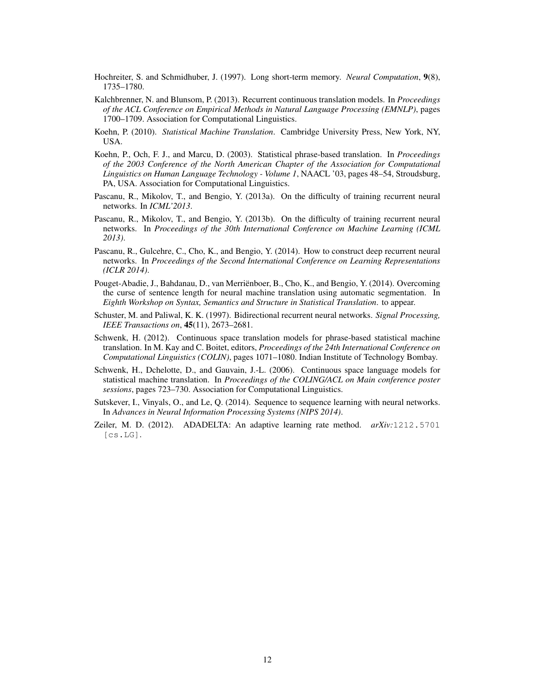- <span id="page-11-4"></span>Hochreiter, S. and Schmidhuber, J. (1997). Long short-term memory. *Neural Computation*, 9(8), 1735–1780.
- <span id="page-11-0"></span>Kalchbrenner, N. and Blunsom, P. (2013). Recurrent continuous translation models. In *Proceedings of the ACL Conference on Empirical Methods in Natural Language Processing (EMNLP)*, pages 1700–1709. Association for Computational Linguistics.
- <span id="page-11-8"></span>Koehn, P. (2010). *Statistical Machine Translation*. Cambridge University Press, New York, NY, USA.
- <span id="page-11-2"></span>Koehn, P., Och, F. J., and Marcu, D. (2003). Statistical phrase-based translation. In *Proceedings of the 2003 Conference of the North American Chapter of the Association for Computational Linguistics on Human Language Technology - Volume 1*, NAACL '03, pages 48–54, Stroudsburg, PA, USA. Association for Computational Linguistics.
- <span id="page-11-5"></span>Pascanu, R., Mikolov, T., and Bengio, Y. (2013a). On the difficulty of training recurrent neural networks. In *ICML'2013*.
- <span id="page-11-12"></span>Pascanu, R., Mikolov, T., and Bengio, Y. (2013b). On the difficulty of training recurrent neural networks. In *Proceedings of the 30th International Conference on Machine Learning (ICML 2013)*.
- <span id="page-11-6"></span>Pascanu, R., Gulcehre, C., Cho, K., and Bengio, Y. (2014). How to construct deep recurrent neural networks. In *Proceedings of the Second International Conference on Learning Representations (ICLR 2014)*.
- <span id="page-11-11"></span>Pouget-Abadie, J., Bahdanau, D., van Merrienboer, B., Cho, K., and Bengio, Y. (2014). Overcoming ¨ the curse of sentence length for neural machine translation using automatic segmentation. In *Eighth Workshop on Syntax, Semantics and Structure in Statistical Translation*. to appear.
- <span id="page-11-3"></span>Schuster, M. and Paliwal, K. K. (1997). Bidirectional recurrent neural networks. *Signal Processing, IEEE Transactions on*, 45(11), 2673–2681.
- <span id="page-11-9"></span>Schwenk, H. (2012). Continuous space translation models for phrase-based statistical machine translation. In M. Kay and C. Boitet, editors, *Proceedings of the 24th International Conference on Computational Linguistics (COLIN)*, pages 1071–1080. Indian Institute of Technology Bombay.
- <span id="page-11-10"></span>Schwenk, H., Dchelotte, D., and Gauvain, J.-L. (2006). Continuous space language models for statistical machine translation. In *Proceedings of the COLING/ACL on Main conference poster sessions*, pages 723–730. Association for Computational Linguistics.
- <span id="page-11-1"></span>Sutskever, I., Vinyals, O., and Le, Q. (2014). Sequence to sequence learning with neural networks. In *Advances in Neural Information Processing Systems (NIPS 2014)*.
- <span id="page-11-7"></span>Zeiler, M. D. (2012). ADADELTA: An adaptive learning rate method. *arXiv:*1212.5701 [cs.LG].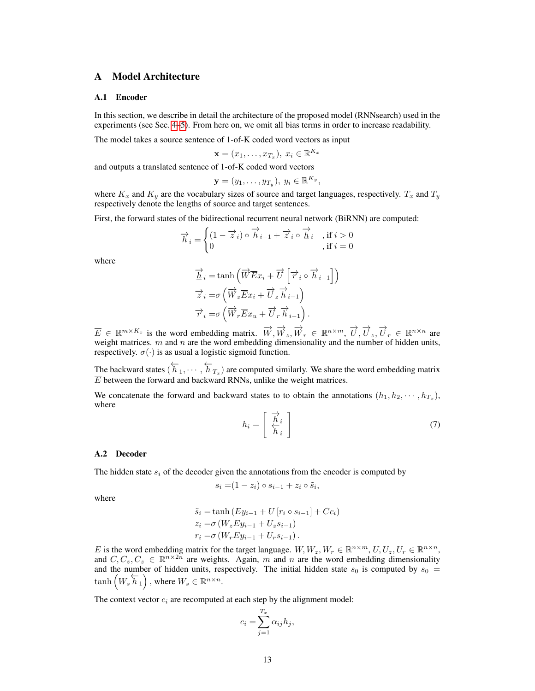## <span id="page-12-0"></span>A Model Architecture

#### A.1 Encoder

In this section, we describe in detail the architecture of the proposed model (RNNsearch) used in the experiments (see Sec. [4–](#page-4-4)[5\)](#page-5-3). From here on, we omit all bias terms in order to increase readability.

The model takes a source sentence of 1-of-K coded word vectors as input

$$
\mathbf{x} = (x_1, \dots, x_{T_x}), \ x_i \in \mathbb{R}^{K_x}
$$

and outputs a translated sentence of 1-of-K coded word vectors

$$
\mathbf{y}=(y_1,\ldots,y_{T_y}),\ y_i\in\mathbb{R}^{K_y},
$$

where  $K_x$  and  $K_y$  are the vocabulary sizes of source and target languages, respectively.  $T_x$  and  $T_y$ respectively denote the lengths of source and target sentences.

First, the forward states of the bidirectional recurrent neural network (BiRNN) are computed:

$$
\overrightarrow{h}_i = \begin{cases} (1 - \overrightarrow{z}_i) \circ \overrightarrow{h}_{i-1} + \overrightarrow{z}_i \circ \overrightarrow{\underline{h}}_i, & \text{if } i > 0 \\ 0, & \text{if } i = 0 \end{cases}
$$

where

$$
\overrightarrow{\underline{h}}_i = \tanh\left(\overrightarrow{W}\overrightarrow{E}x_i + \overrightarrow{U}\left[\overrightarrow{r}_i \circ \overrightarrow{h}_{i-1}\right]\right)
$$
  
\n
$$
\overrightarrow{z}_i = \sigma\left(\overrightarrow{W}_z \overrightarrow{E}x_i + \overrightarrow{U}_z \overrightarrow{h}_{i-1}\right)
$$
  
\n
$$
\overrightarrow{r}_i = \sigma\left(\overrightarrow{W}_r \overrightarrow{E}x_u + \overrightarrow{U}_r \overrightarrow{h}_{i-1}\right).
$$

 $\overline{E} \in \mathbb{R}^{m \times K_x}$  is the word embedding matrix.  $\overrightarrow{W}, \overrightarrow{W}_z, \overrightarrow{W}_r \in \mathbb{R}^{n \times m}, \overrightarrow{U}, \overrightarrow{U}_z, \overrightarrow{U}_r \in \mathbb{R}^{n \times n}$  are weight matrices.  $m$  and  $n$  are the word embedding dimensionality and the number of hidden units, respectively.  $\sigma(\cdot)$  is as usual a logistic sigmoid function.

The backward states  $(\overleftarrow{h}_1, \cdots, \overleftarrow{h}_{T_x})$  are computed similarly. We share the word embedding matrix  $\overline{E}$  between the forward and backward RNNs, unlike the weight matrices.

We concatenate the forward and backward states to to obtain the annotations  $(h_1, h_2, \dots, h_{T_x})$ , where

<span id="page-12-1"></span>
$$
h_i = \left[\begin{array}{c} \overrightarrow{h}_i \\ \overleftarrow{h}_i \end{array}\right] \tag{7}
$$

#### A.2 Decoder

The hidden state  $s_i$  of the decoder given the annotations from the encoder is computed by

$$
s_i = (1 - z_i) \circ s_{i-1} + z_i \circ \tilde{s}_i,
$$

where

$$
\tilde{s}_i = \tanh(E y_{i-1} + U [r_i \circ s_{i-1}] + C c_i)
$$
  
\n
$$
z_i = \sigma(W_z E y_{i-1} + U_z s_{i-1})
$$
  
\n
$$
r_i = \sigma(W_r E y_{i-1} + U_r s_{i-1}).
$$

E is the word embedding matrix for the target language.  $W, W_z, W_r \in \mathbb{R}^{n \times m}, U, U_z, U_r \in \mathbb{R}^{n \times n}$ , and  $C, C_z, C_z \in \mathbb{R}^{n \times 2n}$  are weights. Again, m and n are the word embedding dimensionality and the number of hidden units, respectively. The initial hidden state  $s_0$  is computed by  $s_0 =$  $tanh\left(W_s \overleftarrow{h}_1\right)$ , where  $W_s \in \mathbb{R}^{n \times n}$ .

The context vector  $c_i$  are recomputed at each step by the alignment model:

$$
c_i = \sum_{j=1}^{T_x} \alpha_{ij} h_j,
$$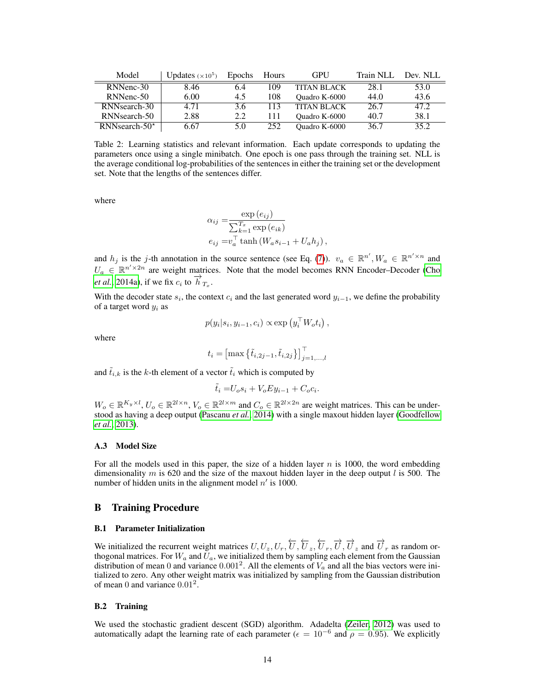| Model            | Updates $(x10^5)$ | <b>Epochs</b> | <b>Hours</b> | <b>GPU</b>         | Train NLL | Dev. NLL |
|------------------|-------------------|---------------|--------------|--------------------|-----------|----------|
| RNNenc-30        | 8.46              | 6.4           | 109          | <b>TITAN BLACK</b> | 28.1      | 53.0     |
| RNNenc-50        | 6.00              | 4.5           | 108          | Quadro K-6000      | 44.0      | 43.6     |
| RNNsearch-30     | 4.71              | 3.6           | 113          | <b>TITAN BLACK</b> | 26.7      | 47.2     |
| RNNsearch-50     | 2.88              | 2.2           | l 11         | Quadro K-6000      | 40.7      | 38.1     |
| RNNsearch-50 $*$ | 6.67              | 5.0           | 252          | Ouadro K-6000      | 36.7      | 35.2     |

<span id="page-13-1"></span>Table 2: Learning statistics and relevant information. Each update corresponds to updating the parameters once using a single minibatch. One epoch is one pass through the training set. NLL is the average conditional log-probabilities of the sentences in either the training set or the development set. Note that the lengths of the sentences differ.

where

$$
\alpha_{ij} = \frac{\exp(e_{ij})}{\sum_{k=1}^{T_x} \exp(e_{ik})}
$$
  
\n
$$
e_{ij} = v_a^{\top} \tanh(W_a s_{i-1} + U_a h_j),
$$

and  $h_j$  is the j-th annotation in the source sentence (see Eq. [\(7\)](#page-12-1)).  $v_a \in \mathbb{R}^{n'}$ ,  $W_a \in \mathbb{R}^{n' \times n}$  and  $U_a \in \mathbb{R}^{n' \times 2n}$  are weight matrices. Note that the model becomes RNN Encoder–Decoder [\(Cho](#page-10-1) *[et al.](#page-10-1)*, [2014a\)](#page-10-1), if we fix  $c_i$  to  $\overrightarrow{h}_{T_x}$ .

With the decoder state  $s_i$ , the context  $c_i$  and the last generated word  $y_{i-1}$ , we define the probability of a target word  $y_i$  as

$$
p(y_i|s_i, y_{i-1}, c_i) \propto \exp(y_i^{\top} W_o t_i),
$$

where

$$
t_i = \left[\max\left\{\tilde{t}_{i,2j-1}, \tilde{t}_{i,2j}\right\}\right]_{j=1,...,l}^{\top}
$$

and  $\tilde{t}_{i,k}$  is the k-th element of a vector  $\tilde{t}_i$  which is computed by

$$
\tilde{t}_i = U_o s_i + V_o E y_{i-1} + C_o c_i.
$$

 $W_o \in \mathbb{R}^{K_y \times l}$ ,  $U_o \in \mathbb{R}^{2l \times n}$ ,  $V_o \in \mathbb{R}^{2l \times m}$  and  $C_o \in \mathbb{R}^{2l \times 2n}$  are weight matrices. This can be understood as having a deep output [\(Pascanu](#page-11-6) *et al.*, [2014\)](#page-11-6) with a single maxout hidden layer [\(Goodfellow](#page-10-6) *[et al.](#page-10-6)*, [2013\)](#page-10-6).

#### A.3 Model Size

For all the models used in this paper, the size of a hidden layer  $n$  is 1000, the word embedding dimensionality m is 620 and the size of the maxout hidden layer in the deep output l is 500. The number of hidden units in the alignment model  $n'$  is 1000.

## <span id="page-13-0"></span>B Training Procedure

## B.1 Parameter Initialization

We initialized the recurrent weight matrices  $U, U_z, U_r, \overleftarrow{U}, \overleftarrow{U}_z, \overleftarrow{U}_r, \overrightarrow{U}, \overrightarrow{U}_z$  and  $\overrightarrow{U}_r$  as random orthogonal matrices. For  $W_a$  and  $U_a$ , we initialized them by sampling each element from the Gaussian distribution of mean 0 and variance  $0.001^2$ . All the elements of  $V_a$  and all the bias vectors were initialized to zero. Any other weight matrix was initialized by sampling from the Gaussian distribution of mean 0 and variance  $0.01^2$ .

#### B.2 Training

We used the stochastic gradient descent (SGD) algorithm. Adadelta [\(Zeiler, 2012\)](#page-11-7) was used to automatically adapt the learning rate of each parameter ( $\epsilon = 10^{-6}$  and  $\rho = 0.95$ ). We explicitly